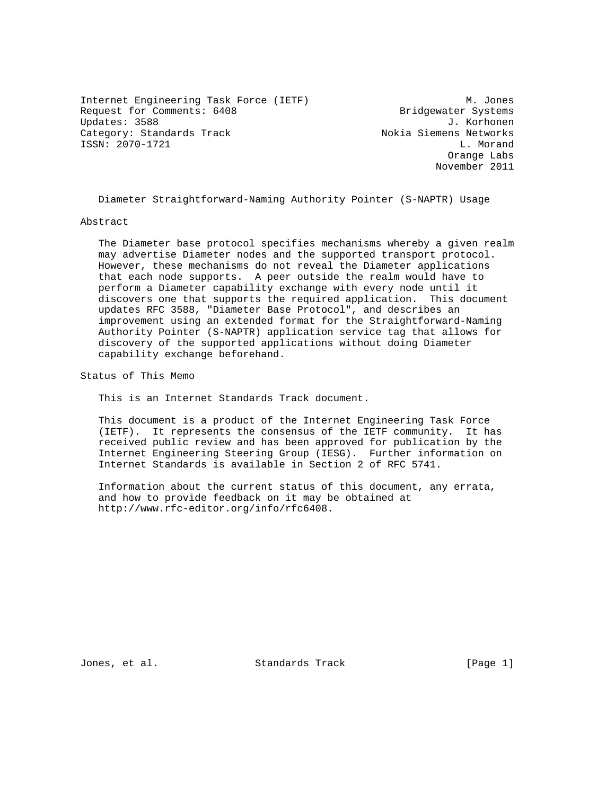Internet Engineering Task Force (IETF) M. Jones Request for Comments: 6408 Bridgewater Systems Updates: 3588 J. Korhonen Category: Standards Track Nokia Siemens Networks ISSN: 2070-1721 L. Morand

 Orange Labs November 2011

Diameter Straightforward-Naming Authority Pointer (S-NAPTR) Usage

Abstract

 The Diameter base protocol specifies mechanisms whereby a given realm may advertise Diameter nodes and the supported transport protocol. However, these mechanisms do not reveal the Diameter applications that each node supports. A peer outside the realm would have to perform a Diameter capability exchange with every node until it discovers one that supports the required application. This document updates RFC 3588, "Diameter Base Protocol", and describes an improvement using an extended format for the Straightforward-Naming Authority Pointer (S-NAPTR) application service tag that allows for discovery of the supported applications without doing Diameter capability exchange beforehand.

Status of This Memo

This is an Internet Standards Track document.

 This document is a product of the Internet Engineering Task Force (IETF). It represents the consensus of the IETF community. It has received public review and has been approved for publication by the Internet Engineering Steering Group (IESG). Further information on Internet Standards is available in Section 2 of RFC 5741.

 Information about the current status of this document, any errata, and how to provide feedback on it may be obtained at http://www.rfc-editor.org/info/rfc6408.

Jones, et al. Standards Track [Page 1]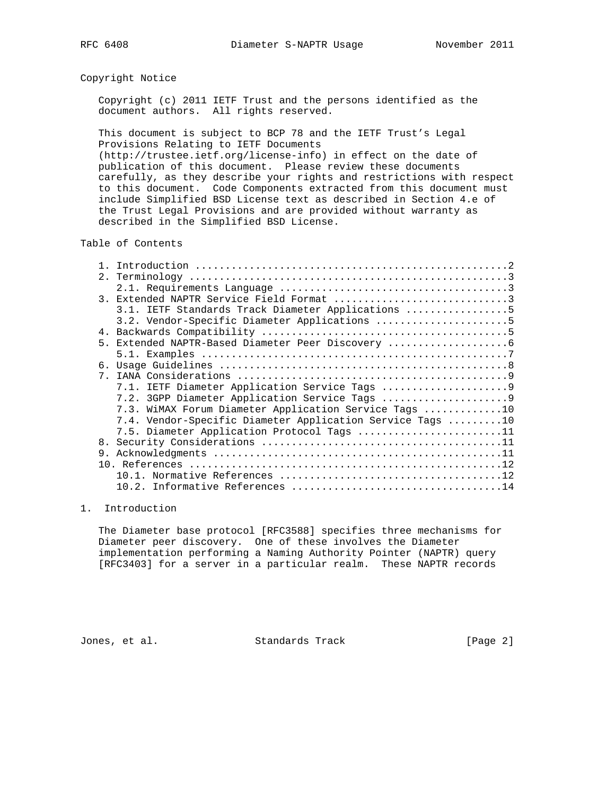#### Copyright Notice

 Copyright (c) 2011 IETF Trust and the persons identified as the document authors. All rights reserved.

 This document is subject to BCP 78 and the IETF Trust's Legal Provisions Relating to IETF Documents (http://trustee.ietf.org/license-info) in effect on the date of

 publication of this document. Please review these documents carefully, as they describe your rights and restrictions with respect to this document. Code Components extracted from this document must include Simplified BSD License text as described in Section 4.e of the Trust Legal Provisions and are provided without warranty as described in the Simplified BSD License.

#### Table of Contents

| 2 <sup>1</sup> |                                                           |
|----------------|-----------------------------------------------------------|
|                |                                                           |
|                | 3. Extended NAPTR Service Field Format 3                  |
|                | 3.1. IETF Standards Track Diameter Applications 5         |
|                | 3.2. Vendor-Specific Diameter Applications 5              |
|                |                                                           |
| 5 <sub>1</sub> |                                                           |
|                |                                                           |
|                |                                                           |
| $7^{\circ}$    |                                                           |
|                |                                                           |
|                |                                                           |
|                | 7.3. WiMAX Forum Diameter Application Service Tags 10     |
|                | 7.4. Vendor-Specific Diameter Application Service Tags 10 |
|                | 7.5. Diameter Application Protocol Tags 11                |
| 8.             |                                                           |
| 9.             |                                                           |
|                |                                                           |
|                |                                                           |
|                |                                                           |

#### 1. Introduction

 The Diameter base protocol [RFC3588] specifies three mechanisms for Diameter peer discovery. One of these involves the Diameter implementation performing a Naming Authority Pointer (NAPTR) query [RFC3403] for a server in a particular realm. These NAPTR records

Jones, et al. Standards Track [Page 2]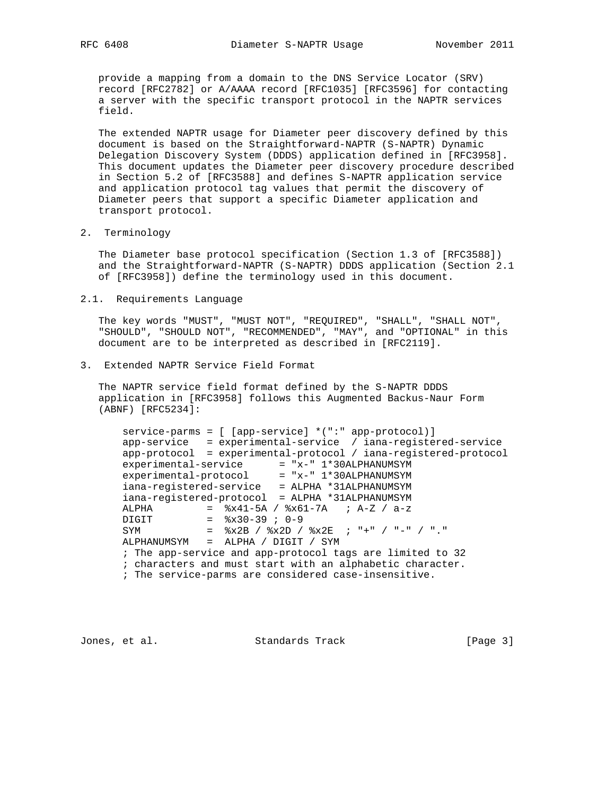provide a mapping from a domain to the DNS Service Locator (SRV) record [RFC2782] or A/AAAA record [RFC1035] [RFC3596] for contacting a server with the specific transport protocol in the NAPTR services field.

 The extended NAPTR usage for Diameter peer discovery defined by this document is based on the Straightforward-NAPTR (S-NAPTR) Dynamic Delegation Discovery System (DDDS) application defined in [RFC3958]. This document updates the Diameter peer discovery procedure described in Section 5.2 of [RFC3588] and defines S-NAPTR application service and application protocol tag values that permit the discovery of Diameter peers that support a specific Diameter application and transport protocol.

2. Terminology

 The Diameter base protocol specification (Section 1.3 of [RFC3588]) and the Straightforward-NAPTR (S-NAPTR) DDDS application (Section 2.1 of [RFC3958]) define the terminology used in this document.

2.1. Requirements Language

 The key words "MUST", "MUST NOT", "REQUIRED", "SHALL", "SHALL NOT", "SHOULD", "SHOULD NOT", "RECOMMENDED", "MAY", and "OPTIONAL" in this document are to be interpreted as described in [RFC2119].

3. Extended NAPTR Service Field Format

 The NAPTR service field format defined by the S-NAPTR DDDS application in [RFC3958] follows this Augmented Backus-Naur Form (ABNF) [RFC5234]:

 service-parms = [ [app-service] \*(":" app-protocol)] app-service = experimental-service / iana-registered-service app-protocol = experimental-protocol / iana-registered-protocol experimental-service = "x-" 1\*30ALPHANUMSYM experimental-protocol = "x-" 1\*30ALPHANUMSYM iana-registered-service = ALPHA \*31ALPHANUMSYM iana-registered-protocol = ALPHA \*31ALPHANUMSYM ALPHA =  $\sqrt{2 \times 41 - 5A}$  /  $\sqrt{2 \times 61 - 7A}$  ; A-Z / a-z  $DIGIT$  =  $\frac{1}{6}x30-39$  ; 0-9 SYM  $=$   $\&x2B / \&x2D / \&x2E ; "++" / "--" / ".."$  ALPHANUMSYM = ALPHA / DIGIT / SYM ; The app-service and app-protocol tags are limited to 32 ; characters and must start with an alphabetic character. ; The service-parms are considered case-insensitive.

Jones, et al. Standards Track [Page 3]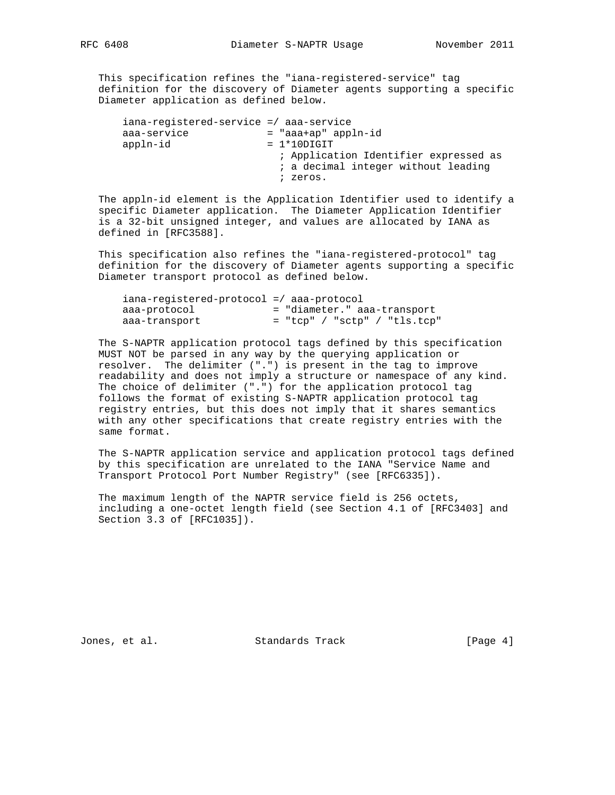This specification refines the "iana-registered-service" tag definition for the discovery of Diameter agents supporting a specific Diameter application as defined below.

| iana-registered-service =/ aaa-service |                                       |
|----------------------------------------|---------------------------------------|
| aaa-service                            | = "aaa+ap" appln-id                   |
| appln-id                               | $= 1*10$ DIGIT                        |
|                                        | ; Application Identifier expressed as |
|                                        | ; a decimal integer without leading   |
|                                        | ; zeros.                              |

 The appln-id element is the Application Identifier used to identify a specific Diameter application. The Diameter Application Identifier is a 32-bit unsigned integer, and values are allocated by IANA as defined in [RFC3588].

 This specification also refines the "iana-registered-protocol" tag definition for the discovery of Diameter agents supporting a specific Diameter transport protocol as defined below.

| $iana-reqistered-protocol$ =/ $aaa-protocol$ |                                |
|----------------------------------------------|--------------------------------|
| aaa-protocol                                 | = "diameter." aaa-transport    |
| aaa-transport                                | $=$ "tcp" / "sctp" / "tls.tcp" |

 The S-NAPTR application protocol tags defined by this specification MUST NOT be parsed in any way by the querying application or resolver. The delimiter (".") is present in the tag to improve readability and does not imply a structure or namespace of any kind. The choice of delimiter (".") for the application protocol tag follows the format of existing S-NAPTR application protocol tag registry entries, but this does not imply that it shares semantics with any other specifications that create registry entries with the same format.

 The S-NAPTR application service and application protocol tags defined by this specification are unrelated to the IANA "Service Name and Transport Protocol Port Number Registry" (see [RFC6335]).

 The maximum length of the NAPTR service field is 256 octets, including a one-octet length field (see Section 4.1 of [RFC3403] and Section 3.3 of [RFC1035]).

Jones, et al. Standards Track [Page 4]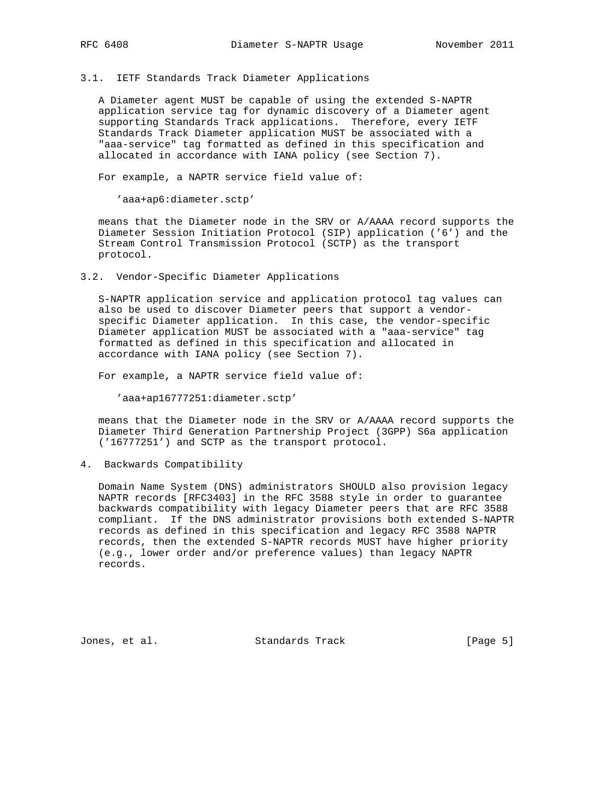## 3.1. IETF Standards Track Diameter Applications

 A Diameter agent MUST be capable of using the extended S-NAPTR application service tag for dynamic discovery of a Diameter agent supporting Standards Track applications. Therefore, every IETF Standards Track Diameter application MUST be associated with a "aaa-service" tag formatted as defined in this specification and allocated in accordance with IANA policy (see Section 7).

For example, a NAPTR service field value of:

'aaa+ap6:diameter.sctp'

 means that the Diameter node in the SRV or A/AAAA record supports the Diameter Session Initiation Protocol (SIP) application ('6') and the Stream Control Transmission Protocol (SCTP) as the transport protocol.

3.2. Vendor-Specific Diameter Applications

 S-NAPTR application service and application protocol tag values can also be used to discover Diameter peers that support a vendor specific Diameter application. In this case, the vendor-specific Diameter application MUST be associated with a "aaa-service" tag formatted as defined in this specification and allocated in accordance with IANA policy (see Section 7).

For example, a NAPTR service field value of:

'aaa+ap16777251:diameter.sctp'

 means that the Diameter node in the SRV or A/AAAA record supports the Diameter Third Generation Partnership Project (3GPP) S6a application ('16777251') and SCTP as the transport protocol.

4. Backwards Compatibility

 Domain Name System (DNS) administrators SHOULD also provision legacy NAPTR records [RFC3403] in the RFC 3588 style in order to guarantee backwards compatibility with legacy Diameter peers that are RFC 3588 compliant. If the DNS administrator provisions both extended S-NAPTR records as defined in this specification and legacy RFC 3588 NAPTR records, then the extended S-NAPTR records MUST have higher priority (e.g., lower order and/or preference values) than legacy NAPTR records.

Jones, et al. Standards Track [Page 5]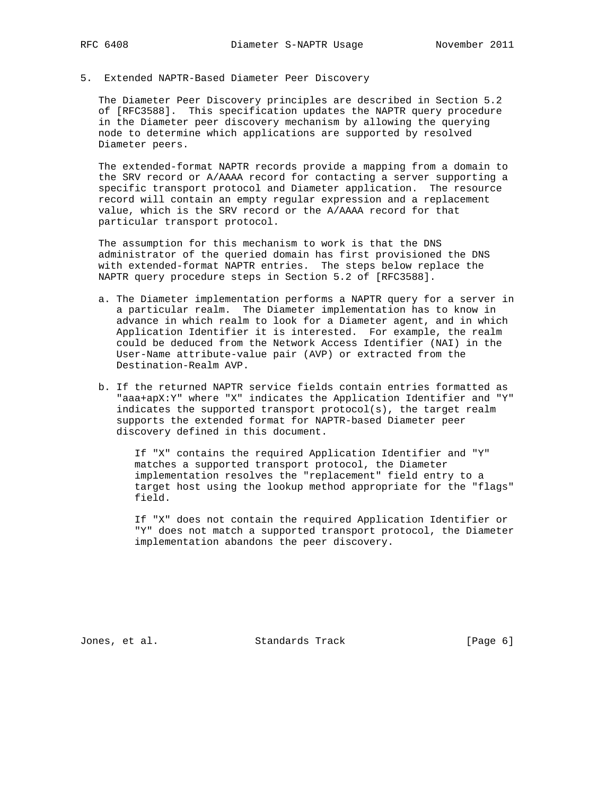5. Extended NAPTR-Based Diameter Peer Discovery

 The Diameter Peer Discovery principles are described in Section 5.2 of [RFC3588]. This specification updates the NAPTR query procedure in the Diameter peer discovery mechanism by allowing the querying node to determine which applications are supported by resolved Diameter peers.

 The extended-format NAPTR records provide a mapping from a domain to the SRV record or A/AAAA record for contacting a server supporting a specific transport protocol and Diameter application. The resource record will contain an empty regular expression and a replacement value, which is the SRV record or the A/AAAA record for that particular transport protocol.

 The assumption for this mechanism to work is that the DNS administrator of the queried domain has first provisioned the DNS with extended-format NAPTR entries. The steps below replace the NAPTR query procedure steps in Section 5.2 of [RFC3588].

- a. The Diameter implementation performs a NAPTR query for a server in a particular realm. The Diameter implementation has to know in advance in which realm to look for a Diameter agent, and in which Application Identifier it is interested. For example, the realm could be deduced from the Network Access Identifier (NAI) in the User-Name attribute-value pair (AVP) or extracted from the Destination-Realm AVP.
- b. If the returned NAPTR service fields contain entries formatted as "aaa+apX:Y" where "X" indicates the Application Identifier and "Y" indicates the supported transport protocol(s), the target realm supports the extended format for NAPTR-based Diameter peer discovery defined in this document.

 If "X" contains the required Application Identifier and "Y" matches a supported transport protocol, the Diameter implementation resolves the "replacement" field entry to a target host using the lookup method appropriate for the "flags" field.

 If "X" does not contain the required Application Identifier or "Y" does not match a supported transport protocol, the Diameter implementation abandons the peer discovery.

Jones, et al. Standards Track [Page 6]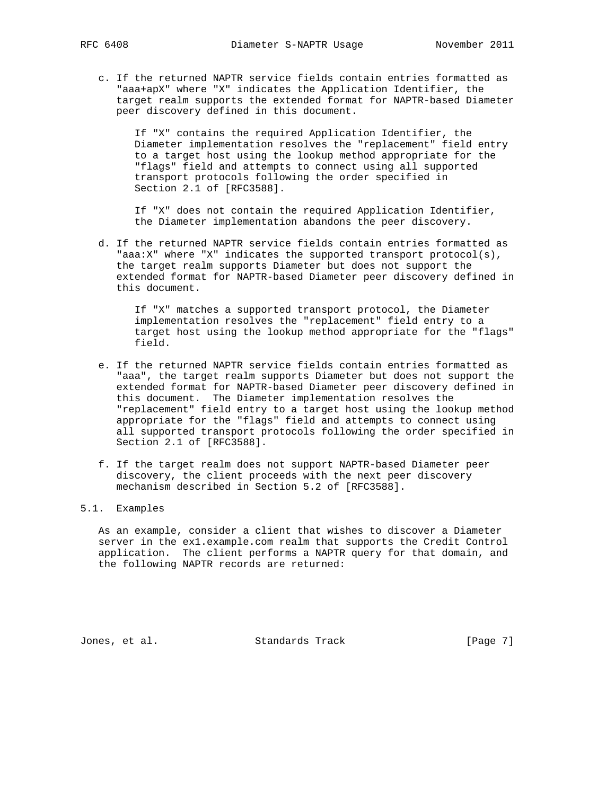c. If the returned NAPTR service fields contain entries formatted as "aaa+apX" where "X" indicates the Application Identifier, the target realm supports the extended format for NAPTR-based Diameter peer discovery defined in this document.

 If "X" contains the required Application Identifier, the Diameter implementation resolves the "replacement" field entry to a target host using the lookup method appropriate for the "flags" field and attempts to connect using all supported transport protocols following the order specified in Section 2.1 of [RFC3588].

 If "X" does not contain the required Application Identifier, the Diameter implementation abandons the peer discovery.

 d. If the returned NAPTR service fields contain entries formatted as "aaa:X" where "X" indicates the supported transport protocol(s), the target realm supports Diameter but does not support the extended format for NAPTR-based Diameter peer discovery defined in this document.

 If "X" matches a supported transport protocol, the Diameter implementation resolves the "replacement" field entry to a target host using the lookup method appropriate for the "flags" field.

- e. If the returned NAPTR service fields contain entries formatted as "aaa", the target realm supports Diameter but does not support the extended format for NAPTR-based Diameter peer discovery defined in this document. The Diameter implementation resolves the "replacement" field entry to a target host using the lookup method appropriate for the "flags" field and attempts to connect using all supported transport protocols following the order specified in Section 2.1 of [RFC3588].
- f. If the target realm does not support NAPTR-based Diameter peer discovery, the client proceeds with the next peer discovery mechanism described in Section 5.2 of [RFC3588].

## 5.1. Examples

 As an example, consider a client that wishes to discover a Diameter server in the ex1.example.com realm that supports the Credit Control application. The client performs a NAPTR query for that domain, and the following NAPTR records are returned:

Jones, et al. Standards Track [Page 7]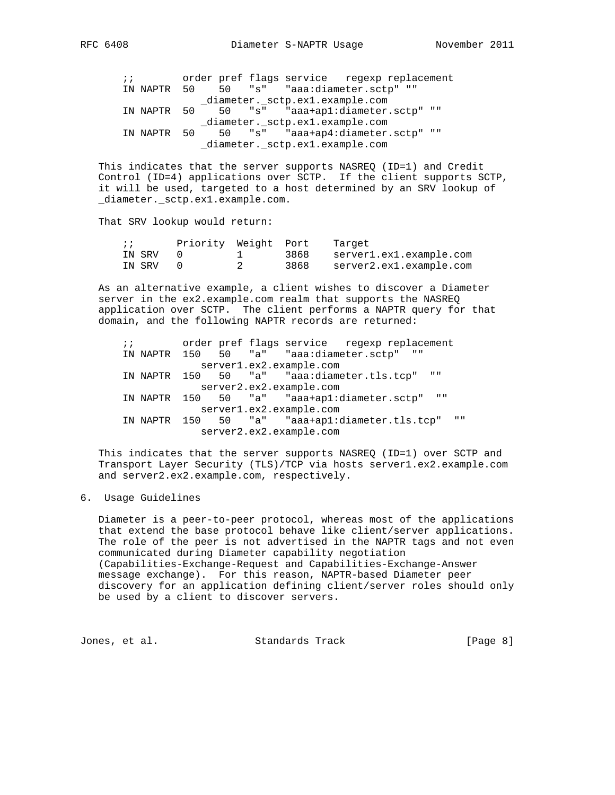;; order pref flags service regexp replacement IN NAPTR 50 50 "s" "aaa:diameter.sctp" "" \_diameter.\_sctp.ex1.example.com IN NAPTR 50 50 "s" "aaa+ap1:diameter.sctp" "" \_diameter.\_sctp.ex1.example.com IN NAPTR 50 50 "s" "aaa+ap4:diameter.sctp" "" \_diameter.\_sctp.ex1.example.com

 This indicates that the server supports NASREQ (ID=1) and Credit Control (ID=4) applications over SCTP. If the client supports SCTP, it will be used, targeted to a host determined by an SRV lookup of \_diameter.\_sctp.ex1.example.com.

That SRV lookup would return:

|        | Priority Weight Port Target |      |                              |
|--------|-----------------------------|------|------------------------------|
| IN SRV |                             |      | 3868 server1.ex1.example.com |
| IN SRV |                             | 3868 | server2.ex1.example.com      |

 As an alternative example, a client wishes to discover a Diameter server in the ex2.example.com realm that supports the NASREQ application over SCTP. The client performs a NAPTR query for that domain, and the following NAPTR records are returned:

 ;; order pref flags service regexp replacement IN NAPTR 150 50 "a" "aaa:diameter.sctp" "" server1.ex2.example.com IN NAPTR 150 50 "a" "aaa:diameter.tls.tcp" "" server2.ex2.example.com IN NAPTR 150 50 "a" "aaa+ap1:diameter.sctp" "" server1.ex2.example.com IN NAPTR 150 50 "a" "aaa+ap1:diameter.tls.tcp" "" server2.ex2.example.com

 This indicates that the server supports NASREQ (ID=1) over SCTP and Transport Layer Security (TLS)/TCP via hosts server1.ex2.example.com and server2.ex2.example.com, respectively.

## 6. Usage Guidelines

 Diameter is a peer-to-peer protocol, whereas most of the applications that extend the base protocol behave like client/server applications. The role of the peer is not advertised in the NAPTR tags and not even communicated during Diameter capability negotiation (Capabilities-Exchange-Request and Capabilities-Exchange-Answer message exchange). For this reason, NAPTR-based Diameter peer discovery for an application defining client/server roles should only be used by a client to discover servers.

Jones, et al. Standards Track [Page 8]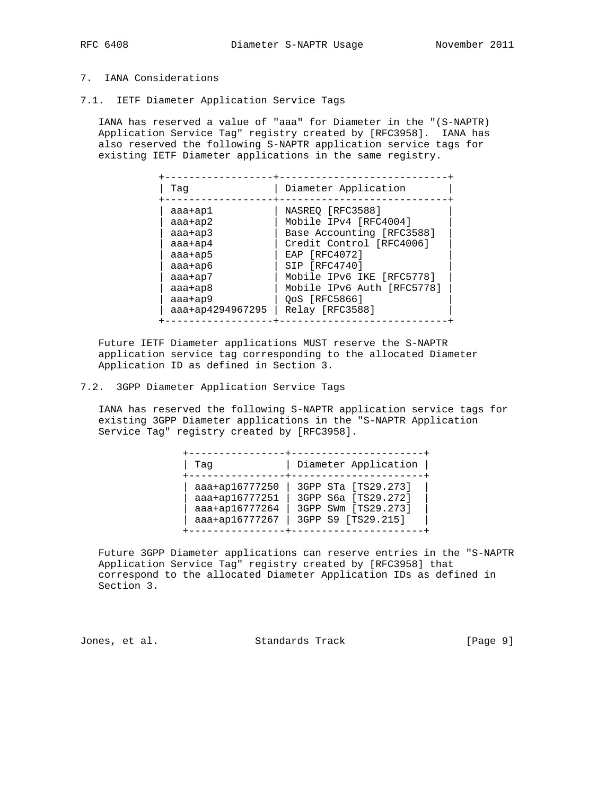# 7. IANA Considerations

7.1. IETF Diameter Application Service Tags

 IANA has reserved a value of "aaa" for Diameter in the "(S-NAPTR) Application Service Tag" registry created by [RFC3958]. IANA has also reserved the following S-NAPTR application service tags for existing IETF Diameter applications in the same registry.

| Taq              | Diameter Application       |
|------------------|----------------------------|
| aaa+ap1          | NASREO [RFC3588]           |
| $aaa+ap2$        | Mobile IPv4 [RFC4004]      |
| $aaa+ap3$        | Base Accounting [RFC3588]  |
| aaa+ap4          | Credit Control [RFC4006]   |
| aaa+ap5          | EAP [RFC4072]              |
| aaa+ap6          | SIP [RFC4740]              |
| $aaa+ap7$        | Mobile IPv6 IKE [RFC5778]  |
| $aaa+ap8$        | Mobile IPv6 Auth [RFC5778] |
| aaa+ap9          | OoS [RFC5866]              |
| aaa+ap4294967295 | Relay [RFC3588]            |

 Future IETF Diameter applications MUST reserve the S-NAPTR application service tag corresponding to the allocated Diameter Application ID as defined in Section 3.

7.2. 3GPP Diameter Application Service Tags

 IANA has reserved the following S-NAPTR application service tags for existing 3GPP Diameter applications in the "S-NAPTR Application Service Tag" registry created by [RFC3958].

| Taq                                                                  | Diameter Application                                                                    |
|----------------------------------------------------------------------|-----------------------------------------------------------------------------------------|
| aaa+ap16777250<br>aaa+ap16777251<br>aaa+ap16777264<br>aaa+ap16777267 | 3GPP STa [TS29.273]<br>3GPP S6a [TS29.272]<br>3GPP SWm [TS29.273]<br>3GPP S9 [TS29.215] |

 Future 3GPP Diameter applications can reserve entries in the "S-NAPTR Application Service Tag" registry created by [RFC3958] that correspond to the allocated Diameter Application IDs as defined in Section 3.

Jones, et al. Standards Track [Page 9]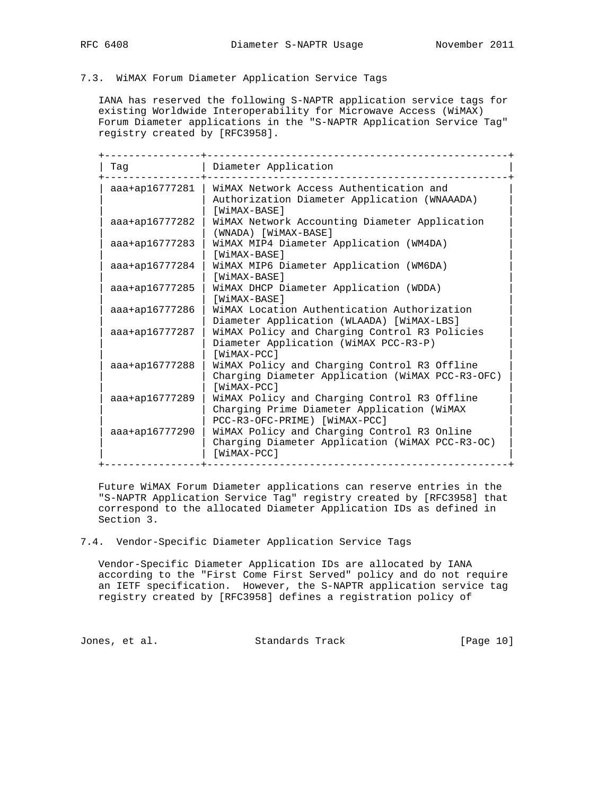# 7.3. WiMAX Forum Diameter Application Service Tags

 IANA has reserved the following S-NAPTR application service tags for existing Worldwide Interoperability for Microwave Access (WiMAX) Forum Diameter applications in the "S-NAPTR Application Service Tag" registry created by [RFC3958].

| Taq            | Diameter Application                                                                                                        |
|----------------|-----------------------------------------------------------------------------------------------------------------------------|
| aaa+ap16777281 | WiMAX Network Access Authentication and<br>Authorization Diameter Application (WNAAADA)<br>[WiMAX-BASE]                     |
| aaa+ap16777282 | WiMAX Network Accounting Diameter Application<br>(WNADA) [WiMAX-BASE]                                                       |
| aaa+ap16777283 | WiMAX MIP4 Diameter Application (WM4DA)<br>[WiMAX-BASE]                                                                     |
| aaa+ap16777284 | WiMAX MIP6 Diameter Application (WM6DA)<br>[WiMAX-BASE]                                                                     |
| aaa+ap16777285 | WiMAX DHCP Diameter Application (WDDA)<br>[WiMAX-BASE]                                                                      |
| aaa+ap16777286 | WiMAX Location Authentication Authorization<br>Diameter Application (WLAADA) [WiMAX-LBS]                                    |
| aaa+ap16777287 | WiMAX Policy and Charging Control R3 Policies<br>Diameter Application (WiMAX PCC-R3-P)<br>[WiMAX-PCC]                       |
| aaa+ap16777288 | WiMAX Policy and Charging Control R3 Offline<br>Charging Diameter Application (WiMAX PCC-R3-OFC)<br>[WiMAX-PCC]             |
| aaa+ap16777289 | WiMAX Policy and Charging Control R3 Offline<br>Charging Prime Diameter Application (WiMAX<br>PCC-R3-OFC-PRIME) [WiMAX-PCC] |
| aaa+ap16777290 | WiMAX Policy and Charging Control R3 Online<br>Charging Diameter Application (WiMAX PCC-R3-OC)<br>[WiMAX-PCC]               |

 Future WiMAX Forum Diameter applications can reserve entries in the "S-NAPTR Application Service Tag" registry created by [RFC3958] that correspond to the allocated Diameter Application IDs as defined in Section 3.

#### 7.4. Vendor-Specific Diameter Application Service Tags

 Vendor-Specific Diameter Application IDs are allocated by IANA according to the "First Come First Served" policy and do not require an IETF specification. However, the S-NAPTR application service tag registry created by [RFC3958] defines a registration policy of

Jones, et al. Standards Track [Page 10]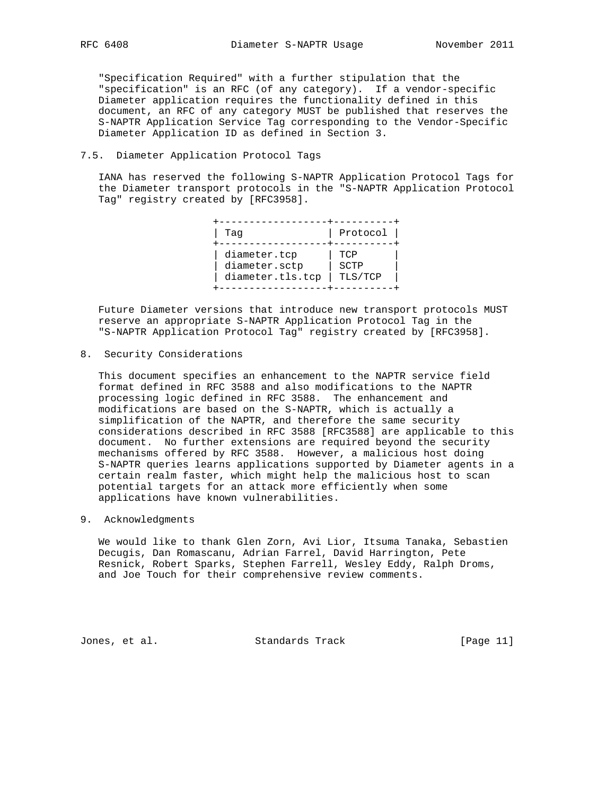"Specification Required" with a further stipulation that the "specification" is an RFC (of any category). If a vendor-specific Diameter application requires the functionality defined in this document, an RFC of any category MUST be published that reserves the S-NAPTR Application Service Tag corresponding to the Vendor-Specific Diameter Application ID as defined in Section 3.

### 7.5. Diameter Application Protocol Tags

 IANA has reserved the following S-NAPTR Application Protocol Tags for the Diameter transport protocols in the "S-NAPTR Application Protocol Tag" registry created by [RFC3958].

| Taq                                               | Protocol               |
|---------------------------------------------------|------------------------|
| diameter.tcp<br>diameter.sctp<br>diameter.tls.tcp | TCP<br>SCTP<br>TLS/TCP |

 Future Diameter versions that introduce new transport protocols MUST reserve an appropriate S-NAPTR Application Protocol Tag in the "S-NAPTR Application Protocol Tag" registry created by [RFC3958].

8. Security Considerations

 This document specifies an enhancement to the NAPTR service field format defined in RFC 3588 and also modifications to the NAPTR processing logic defined in RFC 3588. The enhancement and modifications are based on the S-NAPTR, which is actually a simplification of the NAPTR, and therefore the same security considerations described in RFC 3588 [RFC3588] are applicable to this document. No further extensions are required beyond the security mechanisms offered by RFC 3588. However, a malicious host doing S-NAPTR queries learns applications supported by Diameter agents in a certain realm faster, which might help the malicious host to scan potential targets for an attack more efficiently when some applications have known vulnerabilities.

9. Acknowledgments

 We would like to thank Glen Zorn, Avi Lior, Itsuma Tanaka, Sebastien Decugis, Dan Romascanu, Adrian Farrel, David Harrington, Pete Resnick, Robert Sparks, Stephen Farrell, Wesley Eddy, Ralph Droms, and Joe Touch for their comprehensive review comments.

Jones, et al. Standards Track [Page 11]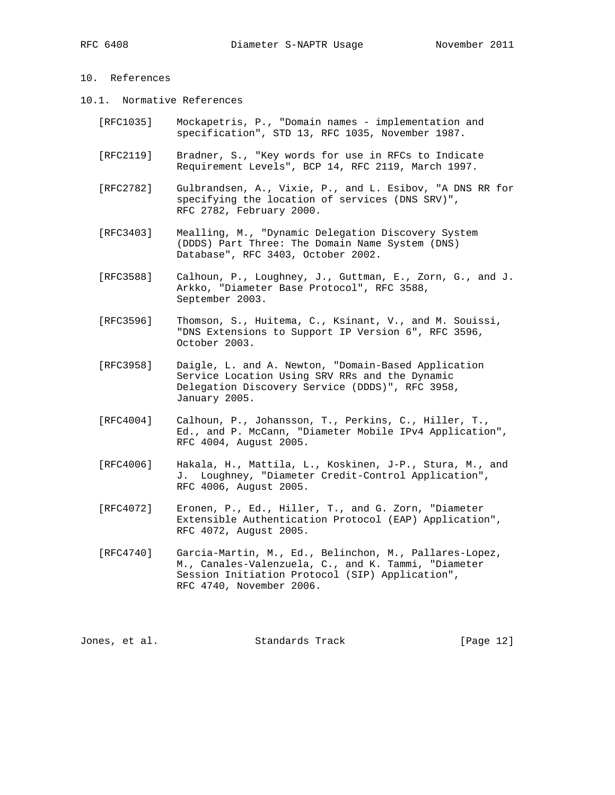## 10. References

- 10.1. Normative References
	- [RFC1035] Mockapetris, P., "Domain names implementation and specification", STD 13, RFC 1035, November 1987.
	- [RFC2119] Bradner, S., "Key words for use in RFCs to Indicate Requirement Levels", BCP 14, RFC 2119, March 1997.
	- [RFC2782] Gulbrandsen, A., Vixie, P., and L. Esibov, "A DNS RR for specifying the location of services (DNS SRV)", RFC 2782, February 2000.
	- [RFC3403] Mealling, M., "Dynamic Delegation Discovery System (DDDS) Part Three: The Domain Name System (DNS) Database", RFC 3403, October 2002.
	- [RFC3588] Calhoun, P., Loughney, J., Guttman, E., Zorn, G., and J. Arkko, "Diameter Base Protocol", RFC 3588, September 2003.
	- [RFC3596] Thomson, S., Huitema, C., Ksinant, V., and M. Souissi, "DNS Extensions to Support IP Version 6", RFC 3596, October 2003.
	- [RFC3958] Daigle, L. and A. Newton, "Domain-Based Application Service Location Using SRV RRs and the Dynamic Delegation Discovery Service (DDDS)", RFC 3958, January 2005.
	- [RFC4004] Calhoun, P., Johansson, T., Perkins, C., Hiller, T., Ed., and P. McCann, "Diameter Mobile IPv4 Application", RFC 4004, August 2005.
	- [RFC4006] Hakala, H., Mattila, L., Koskinen, J-P., Stura, M., and J. Loughney, "Diameter Credit-Control Application", RFC 4006, August 2005.
	- [RFC4072] Eronen, P., Ed., Hiller, T., and G. Zorn, "Diameter Extensible Authentication Protocol (EAP) Application", RFC 4072, August 2005.
	- [RFC4740] Garcia-Martin, M., Ed., Belinchon, M., Pallares-Lopez, M., Canales-Valenzuela, C., and K. Tammi, "Diameter Session Initiation Protocol (SIP) Application", RFC 4740, November 2006.

Jones, et al. Standards Track [Page 12]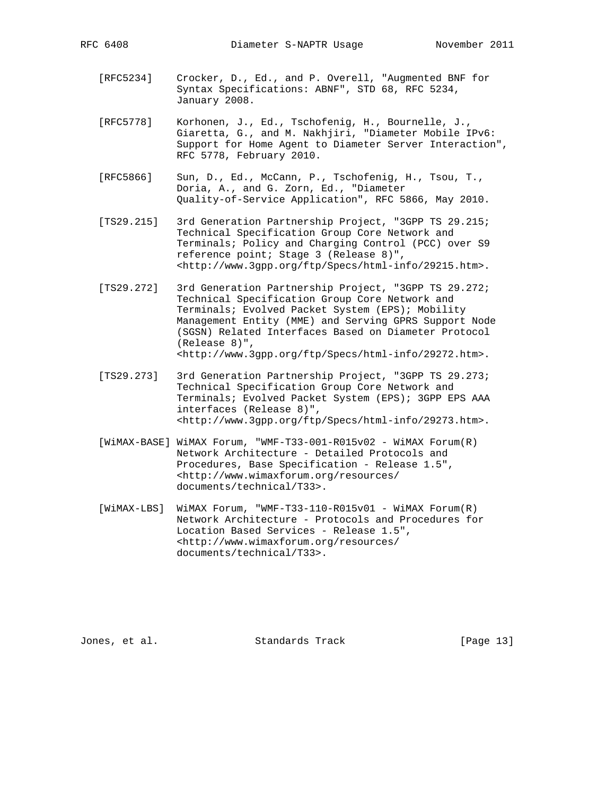- [RFC5234] Crocker, D., Ed., and P. Overell, "Augmented BNF for Syntax Specifications: ABNF", STD 68, RFC 5234, January 2008.
- [RFC5778] Korhonen, J., Ed., Tschofenig, H., Bournelle, J., Giaretta, G., and M. Nakhjiri, "Diameter Mobile IPv6: Support for Home Agent to Diameter Server Interaction", RFC 5778, February 2010.
- [RFC5866] Sun, D., Ed., McCann, P., Tschofenig, H., Tsou, T., Doria, A., and G. Zorn, Ed., "Diameter Quality-of-Service Application", RFC 5866, May 2010.
- [TS29.215] 3rd Generation Partnership Project, "3GPP TS 29.215; Technical Specification Group Core Network and Terminals; Policy and Charging Control (PCC) over S9 reference point; Stage 3 (Release 8)", <http://www.3gpp.org/ftp/Specs/html-info/29215.htm>.
- [TS29.272] 3rd Generation Partnership Project, "3GPP TS 29.272; Technical Specification Group Core Network and Terminals; Evolved Packet System (EPS); Mobility Management Entity (MME) and Serving GPRS Support Node (SGSN) Related Interfaces Based on Diameter Protocol (Release 8)", <http://www.3gpp.org/ftp/Specs/html-info/29272.htm>.
- [TS29.273] 3rd Generation Partnership Project, "3GPP TS 29.273; Technical Specification Group Core Network and Terminals; Evolved Packet System (EPS); 3GPP EPS AAA interfaces (Release 8)", <http://www.3gpp.org/ftp/Specs/html-info/29273.htm>.
- [WiMAX-BASE] WiMAX Forum, "WMF-T33-001-R015v02 WiMAX Forum(R) Network Architecture - Detailed Protocols and Procedures, Base Specification - Release 1.5", <http://www.wimaxforum.org/resources/ documents/technical/T33>.
- [WiMAX-LBS] WiMAX Forum, "WMF-T33-110-R015v01 WiMAX Forum(R) Network Architecture - Protocols and Procedures for Location Based Services - Release 1.5", <http://www.wimaxforum.org/resources/ documents/technical/T33>.

Jones, et al. Standards Track [Page 13]